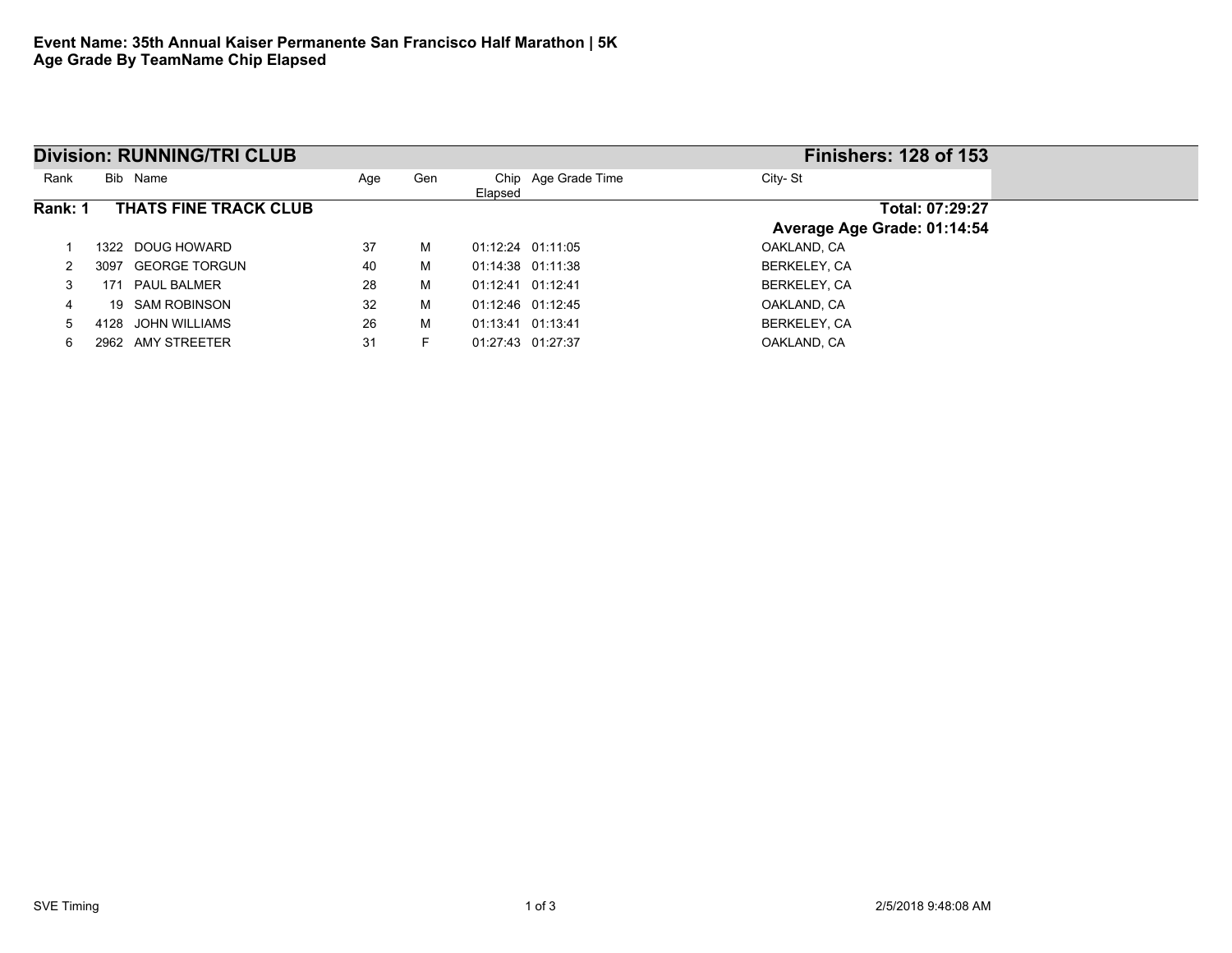| <b>Division: RUNNING/TRI CLUB</b> |                              |     |     |                   |                     | <b>Finishers: 128 of 153</b> |                 |
|-----------------------------------|------------------------------|-----|-----|-------------------|---------------------|------------------------------|-----------------|
| Rank                              | Bib Name                     | Age | Gen | Elapsed           | Chip Age Grade Time | City-St                      |                 |
| Rank: 1                           | THATS FINE TRACK CLUB        |     |     |                   |                     |                              | Total: 07:29:27 |
|                                   |                              |     |     |                   |                     | Average Age Grade: 01:14:54  |                 |
|                                   | DOUG HOWARD<br>1322.         | 37  | м   |                   | 01:12:24 01:11:05   | OAKLAND, CA                  |                 |
|                                   | <b>GEORGE TORGUN</b><br>3097 | 40  | м   |                   | 01:14:38 01:11:38   | BERKELEY, CA                 |                 |
| 3                                 | <b>PAUL BALMER</b><br>171    | 28  | м   | 01:12:41 01:12:41 |                     | BERKELEY, CA                 |                 |
| 4                                 | SAM ROBINSON<br>19           | 32  | м   |                   | 01:12:46 01:12:45   | OAKLAND, CA                  |                 |
| 5                                 | JOHN WILLIAMS<br>4128        | 26  | м   | 01:13:41 01:13:41 |                     | BERKELEY, CA                 |                 |
| 6                                 | AMY STREETER<br>2962         | 31  |     | 01:27:43 01:27:37 |                     | OAKLAND, CA                  |                 |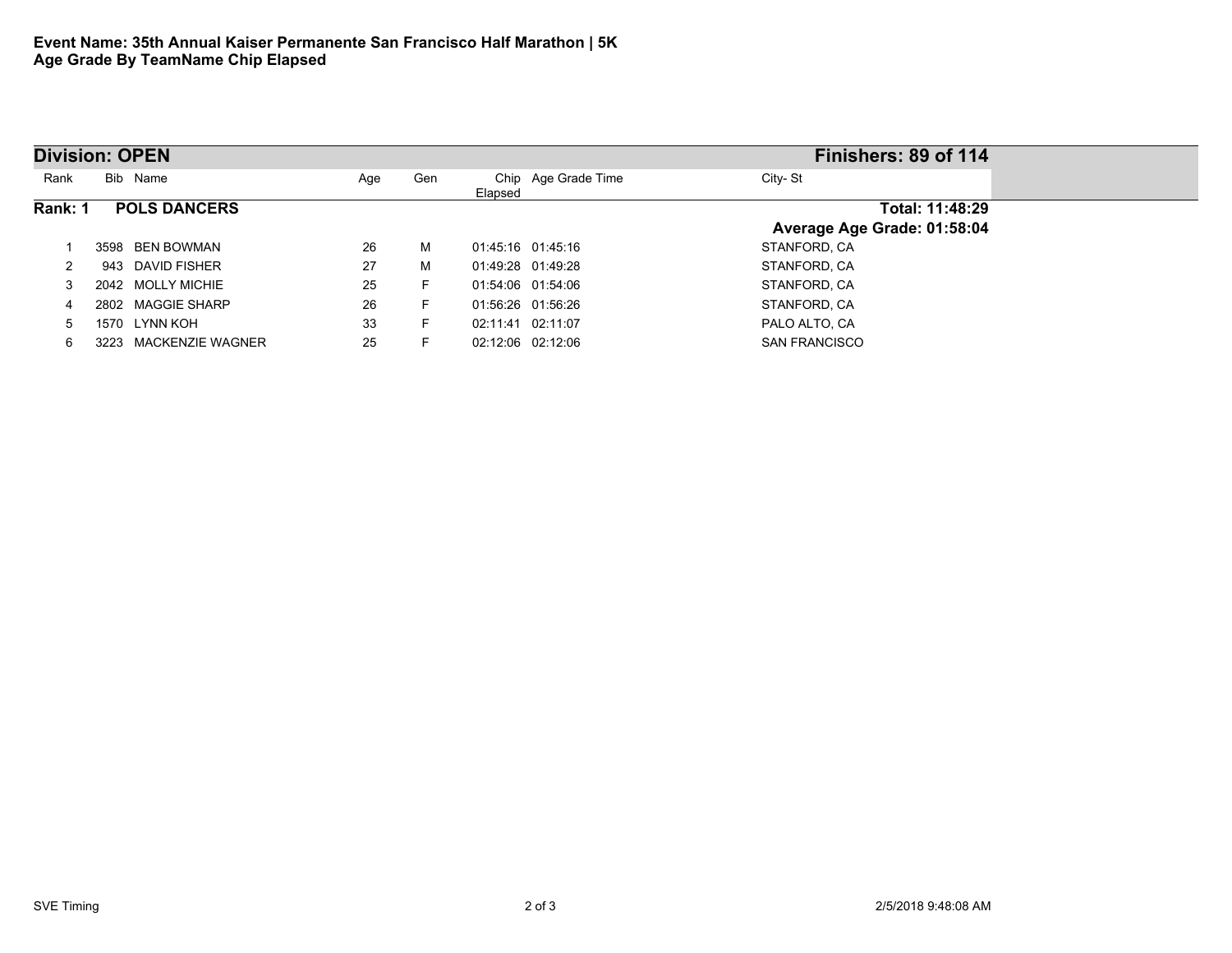| <b>Division: OPEN</b>          |                       |     |     |                   |                     | Finishers: 89 of 114        |  |  |
|--------------------------------|-----------------------|-----|-----|-------------------|---------------------|-----------------------------|--|--|
| Rank                           | Bib Name              | Age | Gen | Elapsed           | Chip Age Grade Time | City-St                     |  |  |
| Rank: 1<br><b>POLS DANCERS</b> |                       |     |     |                   |                     | Total: 11:48:29             |  |  |
|                                |                       |     |     |                   |                     | Average Age Grade: 01:58:04 |  |  |
|                                | BEN BOWMAN<br>3598    | 26  | м   | 01:45:16 01:45:16 |                     | STANFORD, CA                |  |  |
|                                | 943 DAVID FISHER      | 27  | м   | 01:49:28 01:49:28 |                     | STANFORD, CA                |  |  |
|                                | 2042 MOLLY MICHIE     | 25  | F.  | 01:54:06 01:54:06 |                     | STANFORD, CA                |  |  |
| 4                              | 2802 MAGGIE SHARP     | 26  | F.  | 01:56:26 01:56:26 |                     | STANFORD, CA                |  |  |
|                                | LYNN KOH<br>1570      | 33  | F.  | 02:11:41 02:11:07 |                     | PALO ALTO, CA               |  |  |
| 6                              | 3223 MACKENZIE WAGNER | 25  | F.  | 02:12:06 02:12:06 |                     | <b>SAN FRANCISCO</b>        |  |  |